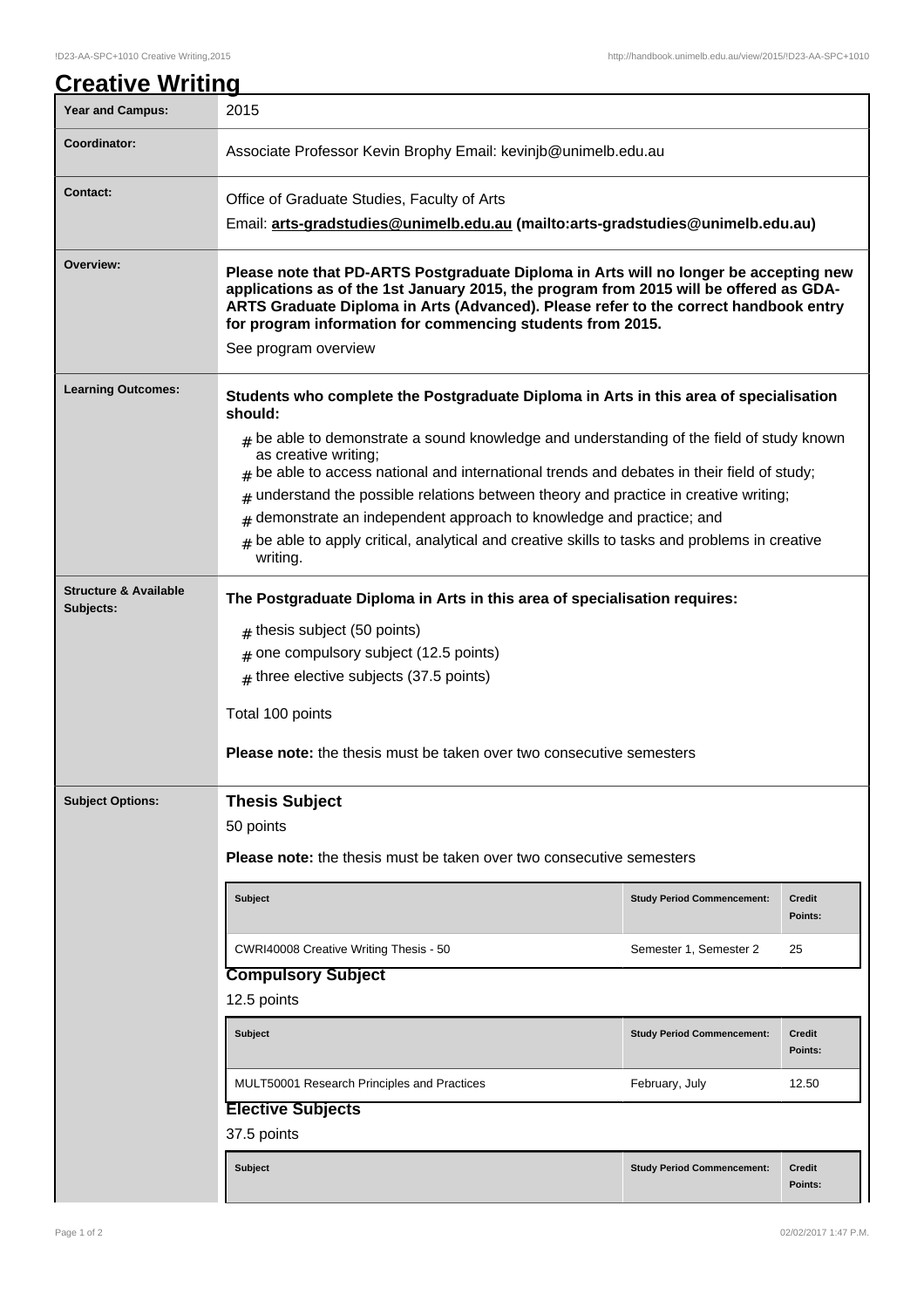| <b>Year and Campus:</b>                       | 2015                                                                                                                                                                                                                                                                                                                                                          |                                   |                          |  |  |
|-----------------------------------------------|---------------------------------------------------------------------------------------------------------------------------------------------------------------------------------------------------------------------------------------------------------------------------------------------------------------------------------------------------------------|-----------------------------------|--------------------------|--|--|
| Coordinator:                                  | Associate Professor Kevin Brophy Email: kevinjb@unimelb.edu.au                                                                                                                                                                                                                                                                                                |                                   |                          |  |  |
| <b>Contact:</b>                               | Office of Graduate Studies, Faculty of Arts                                                                                                                                                                                                                                                                                                                   |                                   |                          |  |  |
|                                               | Email: arts-gradstudies@unimelb.edu.au (mailto:arts-gradstudies@unimelb.edu.au)                                                                                                                                                                                                                                                                               |                                   |                          |  |  |
| Overview:                                     | Please note that PD-ARTS Postgraduate Diploma in Arts will no longer be accepting new<br>applications as of the 1st January 2015, the program from 2015 will be offered as GDA-<br>ARTS Graduate Diploma in Arts (Advanced). Please refer to the correct handbook entry<br>for program information for commencing students from 2015.<br>See program overview |                                   |                          |  |  |
| <b>Learning Outcomes:</b>                     |                                                                                                                                                                                                                                                                                                                                                               |                                   |                          |  |  |
|                                               | Students who complete the Postgraduate Diploma in Arts in this area of specialisation<br>should:                                                                                                                                                                                                                                                              |                                   |                          |  |  |
|                                               | $_{\#}$ be able to demonstrate a sound knowledge and understanding of the field of study known<br>as creative writing;<br>$#$ be able to access national and international trends and debates in their field of study;                                                                                                                                        |                                   |                          |  |  |
|                                               | understand the possible relations between theory and practice in creative writing;<br>#                                                                                                                                                                                                                                                                       |                                   |                          |  |  |
|                                               | demonstrate an independent approach to knowledge and practice; and<br>#                                                                                                                                                                                                                                                                                       |                                   |                          |  |  |
|                                               | be able to apply critical, analytical and creative skills to tasks and problems in creative<br>#<br>writing.                                                                                                                                                                                                                                                  |                                   |                          |  |  |
| <b>Structure &amp; Available</b><br>Subjects: | The Postgraduate Diploma in Arts in this area of specialisation requires:                                                                                                                                                                                                                                                                                     |                                   |                          |  |  |
|                                               | $#$ thesis subject (50 points)                                                                                                                                                                                                                                                                                                                                |                                   |                          |  |  |
|                                               | one compulsory subject (12.5 points)                                                                                                                                                                                                                                                                                                                          |                                   |                          |  |  |
|                                               | $#$ three elective subjects (37.5 points)                                                                                                                                                                                                                                                                                                                     |                                   |                          |  |  |
|                                               | Total 100 points                                                                                                                                                                                                                                                                                                                                              |                                   |                          |  |  |
|                                               | <b>Please note:</b> the thesis must be taken over two consecutive semesters                                                                                                                                                                                                                                                                                   |                                   |                          |  |  |
| <b>Subject Options:</b>                       | <b>Thesis Subject</b>                                                                                                                                                                                                                                                                                                                                         |                                   |                          |  |  |
|                                               | 50 points                                                                                                                                                                                                                                                                                                                                                     |                                   |                          |  |  |
|                                               | <b>Please note:</b> the thesis must be taken over two consecutive semesters                                                                                                                                                                                                                                                                                   |                                   |                          |  |  |
|                                               | <b>Subject</b>                                                                                                                                                                                                                                                                                                                                                | <b>Study Period Commencement:</b> | <b>Credit</b><br>Points: |  |  |
|                                               | CWRI40008 Creative Writing Thesis - 50                                                                                                                                                                                                                                                                                                                        | Semester 1, Semester 2            | 25                       |  |  |
|                                               | <b>Compulsory Subject</b>                                                                                                                                                                                                                                                                                                                                     |                                   |                          |  |  |
|                                               | 12.5 points                                                                                                                                                                                                                                                                                                                                                   |                                   |                          |  |  |
|                                               | <b>Subject</b>                                                                                                                                                                                                                                                                                                                                                | <b>Study Period Commencement:</b> | <b>Credit</b><br>Points: |  |  |
|                                               | <b>MULT50001 Research Principles and Practices</b>                                                                                                                                                                                                                                                                                                            | February, July                    | 12.50                    |  |  |
|                                               | <b>Elective Subjects</b>                                                                                                                                                                                                                                                                                                                                      |                                   |                          |  |  |
|                                               | 37.5 points                                                                                                                                                                                                                                                                                                                                                   |                                   |                          |  |  |
|                                               | <b>Subject</b>                                                                                                                                                                                                                                                                                                                                                | <b>Study Period Commencement:</b> | <b>Credit</b>            |  |  |
|                                               |                                                                                                                                                                                                                                                                                                                                                               |                                   | Points:                  |  |  |